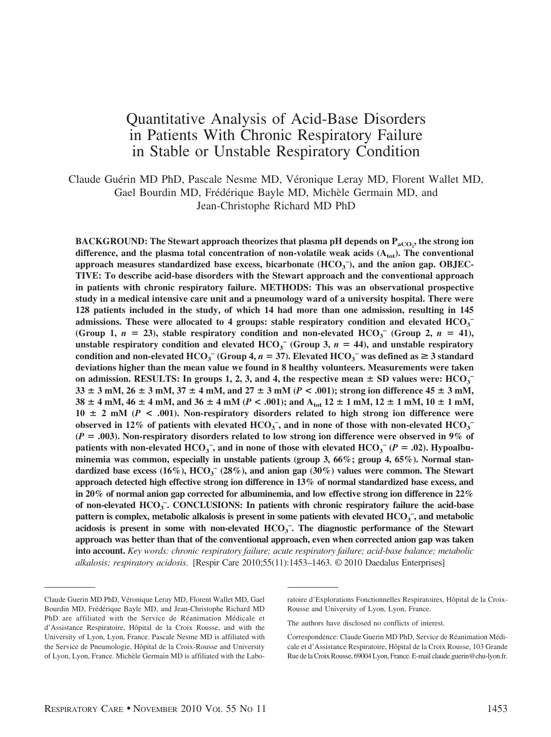# Quantitative Analysis of Acid-Base Disorders in Patients With Chronic Respiratory Failure in Stable or Unstable Respiratory Condition

Claude Guérin MD PhD, Pascale Nesme MD, Véronique Leray MD, Florent Wallet MD, Gael Bourdin MD, Frédérique Bayle MD, Michèle Germain MD, and Jean-Christophe Richard MD PhD

<code>BACKGROUND:</code> The Stewart approach theorizes that plasma pH depends on  $\text{P}_\text{aCO}_2^{}$ , the strong ion difference, and the plasma total concentration of non-volatile weak acids  $(A_{\text{tot}})$ . The conventional approach measures standardized base excess, bicarbonate (HCO<sub>3</sub><sup>-</sup>), and the anion gap. OBJEC-**TIVE: To describe acid-base disorders with the Stewart approach and the conventional approach in patients with chronic respiratory failure. METHODS: This was an observational prospective study in a medical intensive care unit and a pneumology ward of a university hospital. There were 128 patients included in the study, of which 14 had more than one admission, resulting in 145** admissions. These were allocated to 4 groups: stable respiratory condition and elevated  $\text{HCO}_3$ <sup>-</sup> (Group 1,  $n = 23$ ), stable respiratory condition and non-elevated  $HCO_3^-$  (Group 2,  $n = 41$ ), unstable respiratory condition and elevated  $HCO<sub>3</sub><sup>-</sup>$  (Group 3,  $n = 44$ ), and unstable respiratory **condition and non-elevated**  $\text{HCO}_3^-$  **(Group 4,**  $n = 37$ **). Elevated**  $\text{HCO}_3^-$  **was defined as**  $\geq 3$  **standard deviations higher than the mean value we found in 8 healthy volunteers. Measurements were taken** on admission. RESULTS: In groups 1, 2, 3, and 4, the respective mean  $\pm$  SD values were:  $\text{HCO}_3$ <sup>-</sup>  $33 \pm 3$  mM,  $26 \pm 3$  mM,  $37 \pm 4$  mM, and  $27 \pm 3$  mM ( $P < .001$ ); strong ion difference  $45 \pm 3$  mM,  $38 \pm 4$  mM,  $46 \pm 4$  mM, and  $36 \pm 4$  mM ( $P < .001$ ); and  $A_{\text{tot}} 12 \pm 1$  mM,  $12 \pm 1$  mM,  $10 \pm 1$  mM,  $10 \pm 2$  mM ( $P < .001$ ). Non-respiratory disorders related to high strong ion difference were observed in 12% of patients with elevated  $HCO_3^-$ , and in none of those with non-elevated  $HCO_3^-$ **(***P* **.003). Non-respiratory disorders related to low strong ion difference were observed in 9% of** patients with non-elevated  $\text{HCO}_3^-$ , and in none of those with elevated  $\text{HCO}_3^-$  ( $P = .02$ ). Hypoalbu**minemia was common, especially in unstable patients (group 3, 66%; group 4, 65%). Normal stan**dardized base excess (16%),  $\text{HCO}_3^-$  (28%), and anion gap (30%) values were common. The Stewart **approach detected high effective strong ion difference in 13% of normal standardized base excess, and in 20% of normal anion gap corrected for albuminemia, and low effective strong ion difference in 22%** of non-elevated HCO<sub>3</sub><sup>-</sup>. CONCLUSIONS: In patients with chronic respiratory failure the acid-base pattern is complex, metabolic alkalosis is present in some patients with elevated  $\text{HCO}_3^-$ , and metabolic acidosis is present in some with non-elevated HCO<sub>3</sub><sup>-</sup>. The diagnostic performance of the Stewart **approach was better than that of the conventional approach, even when corrected anion gap was taken into account.** *Key words: chronic respiratory failure; acute respiratory failure; acid-base balance; metabolic alkalosis; respiratory acidosis*. [Respir Care 2010;55(11):1453–1463. © 2010 Daedalus Enterprises]

Claude Guerin MD PhD, Véronique Leray MD, Florent Wallet MD, Gael Bourdin MD, Frédérique Bayle MD, and Jean-Christophe Richard MD PhD are affiliated with the Service de Réanimation Médicale et d'Assistance Respiratoire, Hôpital de la Croix Rousse, and with the University of Lyon, Lyon, France. Pascale Nesme MD is affiliated with the Service de Pneumologie, Hôpital de la Croix-Rousse and University of Lyon, Lyon, France. Michèle Germain MD is affiliated with the Labo-

ratoire d'Explorations Fonctionnelles Respiratoires, Hôpital de la Croix-Rousse and University of Lyon, Lyon, France.

The authors have disclosed no conflicts of interest.

Correspondence: Claude Guerin MD PhD, Service de Réanimation Médicale et d'Assistance Respiratoire, Hôpital de la Croix Rousse, 103 Grande Rue de la Croix Rousse, 69004 Lyon, France. E-mail claude.guerin@chu-lyon.fr.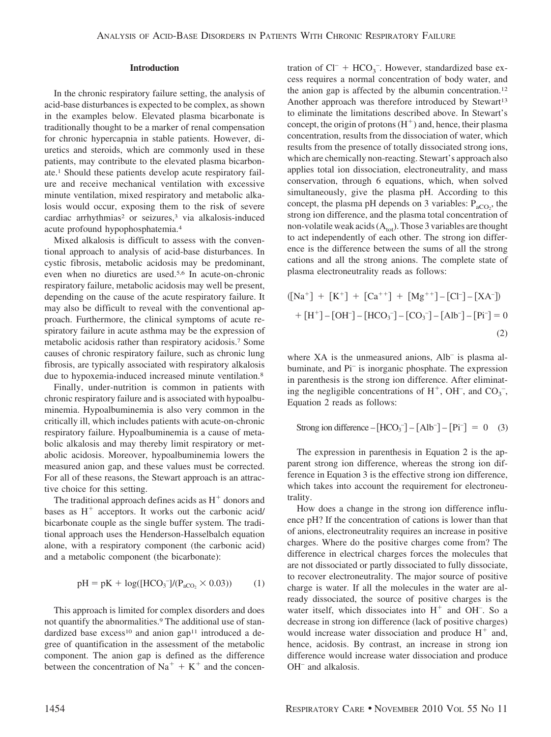#### **Introduction**

In the chronic respiratory failure setting, the analysis of acid-base disturbances is expected to be complex, as shown in the examples below. Elevated plasma bicarbonate is traditionally thought to be a marker of renal compensation for chronic hypercapnia in stable patients. However, diuretics and steroids, which are commonly used in these patients, may contribute to the elevated plasma bicarbonate.1 Should these patients develop acute respiratory failure and receive mechanical ventilation with excessive minute ventilation, mixed respiratory and metabolic alkalosis would occur, exposing them to the risk of severe cardiac arrhythmias<sup>2</sup> or seizures,<sup>3</sup> via alkalosis-induced acute profound hypophosphatemia.4

Mixed alkalosis is difficult to assess with the conventional approach to analysis of acid-base disturbances. In cystic fibrosis, metabolic acidosis may be predominant, even when no diuretics are used.5,6 In acute-on-chronic respiratory failure, metabolic acidosis may well be present, depending on the cause of the acute respiratory failure. It may also be difficult to reveal with the conventional approach. Furthermore, the clinical symptoms of acute respiratory failure in acute asthma may be the expression of metabolic acidosis rather than respiratory acidosis.7 Some causes of chronic respiratory failure, such as chronic lung fibrosis, are typically associated with respiratory alkalosis due to hypoxemia-induced increased minute ventilation.<sup>8</sup>

Finally, under-nutrition is common in patients with chronic respiratory failure and is associated with hypoalbuminemia. Hypoalbuminemia is also very common in the critically ill, which includes patients with acute-on-chronic respiratory failure. Hypoalbuminemia is a cause of metabolic alkalosis and may thereby limit respiratory or metabolic acidosis. Moreover, hypoalbuminemia lowers the measured anion gap, and these values must be corrected. For all of these reasons, the Stewart approach is an attractive choice for this setting.

The traditional approach defines acids as  $H^+$  donors and bases as  $H^+$  acceptors. It works out the carbonic acid/ bicarbonate couple as the single buffer system. The traditional approach uses the Henderson-Hasselbalch equation alone, with a respiratory component (the carbonic acid) and a metabolic component (the bicarbonate):

$$
pH = pK + log([HCO3-]/(PaCO2 \times 0.03))
$$
 (1)

This approach is limited for complex disorders and does not quantify the abnormalities.<sup>9</sup> The additional use of standardized base excess<sup>10</sup> and anion gap<sup>11</sup> introduced a degree of quantification in the assessment of the metabolic component. The anion gap is defined as the difference between the concentration of  $Na<sup>+</sup> + K<sup>+</sup>$  and the concen-

tration of  $Cl^-$  +  $HCO_3^-$ . However, standardized base excess requires a normal concentration of body water, and the anion gap is affected by the albumin concentration.12 Another approach was therefore introduced by Stewart<sup>13</sup> to eliminate the limitations described above. In Stewart's concept, the origin of protons  $(H^+)$  and, hence, their plasma concentration, results from the dissociation of water, which results from the presence of totally dissociated strong ions, which are chemically non-reacting. Stewart's approach also applies total ion dissociation, electroneutrality, and mass conservation, through 6 equations, which, when solved simultaneously, give the plasma pH. According to this concept, the plasma pH depends on 3 variables:  $P_{aCO_2}$ , the strong ion difference, and the plasma total concentration of non-volatile weak acids  $(A<sub>tot</sub>)$ . Those 3 variables are thought to act independently of each other. The strong ion difference is the difference between the sums of all the strong cations and all the strong anions. The complete state of plasma electroneutrality reads as follows:

$$
([\text{Na}^+] + [\text{K}^+] + [\text{Ca}^{++}] + [\text{Mg}^{++}] - [\text{Cl}^-] - [\text{XA}^-])
$$
  
+ 
$$
[\text{H}^+] - [\text{OH}^-] - [\text{HCO}_3^-] - [\text{CO}_3^-] - [\text{Alb}^-] - [\text{Pi}^-] = 0
$$
  
(2)

where  $XA$  is the unmeasured anions,  $Alb^-$  is plasma albuminate, and Pi– is inorganic phosphate. The expression in parenthesis is the strong ion difference. After eliminating the negligible concentrations of  $H^+$ , OH<sup>-</sup>, and CO<sub>3</sub><sup>-</sup>, Equation 2 reads as follows:

Strong ion difference – 
$$
[HCO_3^-] - [Alb^-] - [Pi^-] = 0 \quad (3)
$$

The expression in parenthesis in Equation 2 is the apparent strong ion difference, whereas the strong ion difference in Equation 3 is the effective strong ion difference, which takes into account the requirement for electroneutrality.

How does a change in the strong ion difference influence pH? If the concentration of cations is lower than that of anions, electroneutrality requires an increase in positive charges. Where do the positive charges come from? The difference in electrical charges forces the molecules that are not dissociated or partly dissociated to fully dissociate, to recover electroneutrality. The major source of positive charge is water. If all the molecules in the water are already dissociated, the source of positive charges is the water itself, which dissociates into  $H^+$  and OH<sup>-</sup>. So a decrease in strong ion difference (lack of positive charges) would increase water dissociation and produce  $H^+$  and, hence, acidosis. By contrast, an increase in strong ion difference would increase water dissociation and produce OH<sup>-</sup> and alkalosis.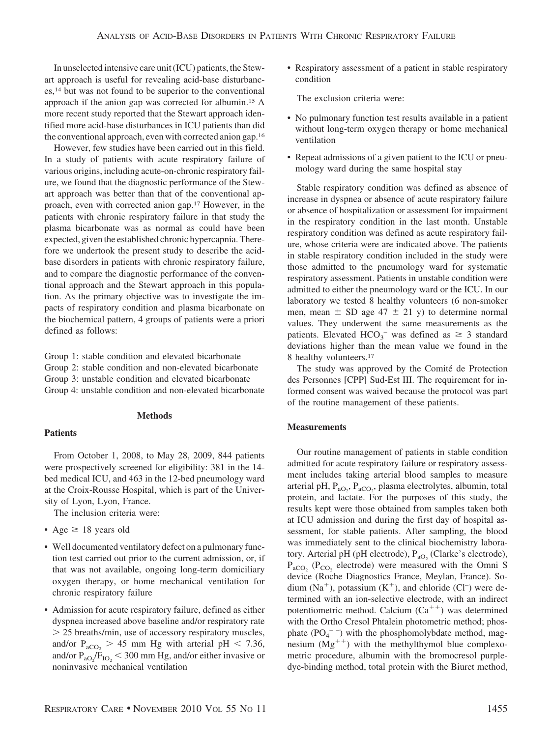In unselected intensive care unit (ICU) patients, the Stewart approach is useful for revealing acid-base disturbances,14 but was not found to be superior to the conventional approach if the anion gap was corrected for albumin.15 A more recent study reported that the Stewart approach identified more acid-base disturbances in ICU patients than did the conventional approach, even with corrected anion gap.16

However, few studies have been carried out in this field. In a study of patients with acute respiratory failure of various origins, including acute-on-chronic respiratory failure, we found that the diagnostic performance of the Stewart approach was better than that of the conventional approach, even with corrected anion gap.17 However, in the patients with chronic respiratory failure in that study the plasma bicarbonate was as normal as could have been expected, given the established chronic hypercapnia. Therefore we undertook the present study to describe the acidbase disorders in patients with chronic respiratory failure, and to compare the diagnostic performance of the conventional approach and the Stewart approach in this population. As the primary objective was to investigate the impacts of respiratory condition and plasma bicarbonate on the biochemical pattern, 4 groups of patients were a priori defined as follows:

Group 1: stable condition and elevated bicarbonate

- Group 2: stable condition and non-elevated bicarbonate
- Group 3: unstable condition and elevated bicarbonate
- Group 4: unstable condition and non-elevated bicarbonate

# **Methods**

## **Patients**

From October 1, 2008, to May 28, 2009, 844 patients were prospectively screened for eligibility: 381 in the 14 bed medical ICU, and 463 in the 12-bed pneumology ward at the Croix-Rousse Hospital, which is part of the University of Lyon, Lyon, France.

The inclusion criteria were:

- Age  $\geq$  18 years old
- Well documented ventilatory defect on a pulmonary function test carried out prior to the current admission, or, if that was not available, ongoing long-term domiciliary oxygen therapy, or home mechanical ventilation for chronic respiratory failure
- Admission for acute respiratory failure, defined as either dyspnea increased above baseline and/or respiratory rate 25 breaths/min, use of accessory respiratory muscles, and/or  $P_{aCO_2} > 45$  mm Hg with arterial pH < 7.36, and/or  $P_{aO_2}/F_{IO_2}$  < 300 mm Hg, and/or either invasive or noninvasive mechanical ventilation

• Respiratory assessment of a patient in stable respiratory condition

The exclusion criteria were:

- No pulmonary function test results available in a patient without long-term oxygen therapy or home mechanical ventilation
- Repeat admissions of a given patient to the ICU or pneumology ward during the same hospital stay

Stable respiratory condition was defined as absence of increase in dyspnea or absence of acute respiratory failure or absence of hospitalization or assessment for impairment in the respiratory condition in the last month. Unstable respiratory condition was defined as acute respiratory failure, whose criteria were are indicated above. The patients in stable respiratory condition included in the study were those admitted to the pneumology ward for systematic respiratory assessment. Patients in unstable condition were admitted to either the pneumology ward or the ICU. In our laboratory we tested 8 healthy volunteers (6 non-smoker men, mean  $\pm$  SD age 47  $\pm$  21 y) to determine normal values. They underwent the same measurements as the patients. Elevated HCO<sub>3</sub><sup>-</sup> was defined as  $\geq$  3 standard deviations higher than the mean value we found in the 8 healthy volunteers.<sup>17</sup>

The study was approved by the Comité de Protection des Personnes [CPP] Sud-Est III. The requirement for informed consent was waived because the protocol was part of the routine management of these patients.

## **Measurements**

Our routine management of patients in stable condition admitted for acute respiratory failure or respiratory assessment includes taking arterial blood samples to measure arterial pH,  $P_{aO_2}$ ,  $P_{aCO_2}$ , plasma electrolytes, albumin, total protein, and lactate. For the purposes of this study, the results kept were those obtained from samples taken both at ICU admission and during the first day of hospital assessment, for stable patients. After sampling, the blood was immediately sent to the clinical biochemistry laboratory. Arterial pH (pH electrode),  $P_{aO_2}$  (Clarke's electrode),  $P_{aCO_2}$  ( $P_{CO_2}$  electrode) were measured with the Omni S device (Roche Diagnostics France, Meylan, France). Sodium  $(Na^+)$ , potassium  $(K^+)$ , and chloride  $(Cl^-)$  were determined with an ion-selective electrode, with an indirect potentiometric method. Calcium  $(Ca^{++})$  was determined with the Ortho Cresol Phtalein photometric method; phosphate  $(PO_4^{\text{-}})$  with the phosphomolybdate method, magnesium  $(Mg^{++})$  with the methylthymol blue complexometric procedure, albumin with the bromocresol purpledye-binding method, total protein with the Biuret method,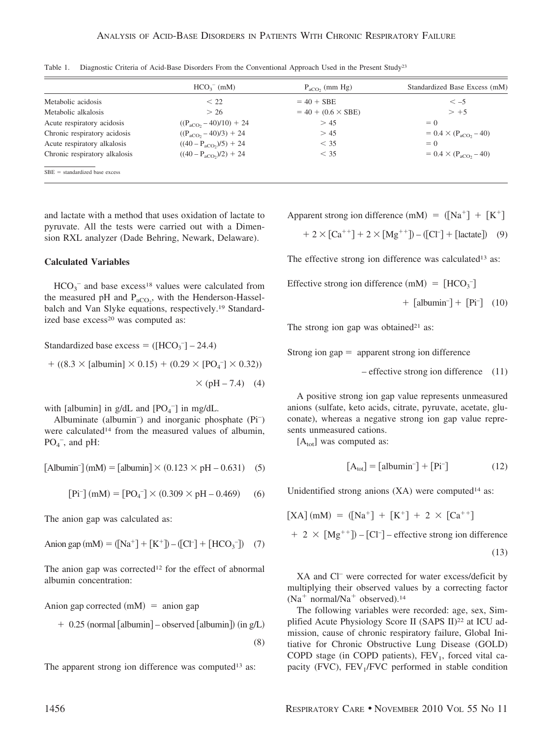|                                  | $HCO3-$ (mM)                       | $P_{aCO}$ , (mm Hg)       | Standardized Base Excess (mM)   |
|----------------------------------|------------------------------------|---------------------------|---------------------------------|
| Metabolic acidosis               | $\leq 22$                          | $= 40 + SBE$              | $\lt -5$                        |
| Metabolic alkalosis              | > 26                               | $= 40 + (0.6 \times SBE)$ | $> +5$                          |
| Acute respiratory acidosis       | $((P_{aCO_2} - 40)/10) + 24$       | > 45                      | $= 0$                           |
| Chronic respiratory acidosis     | $((P_{aCO_2} - 40)/3) + 24$        | > 45                      | $= 0.4 \times (P_{aCO} - 40)$   |
| Acute respiratory alkalosis      | $((40 - P_{aCO_2})/5) + 24$        | $<$ 35                    | $= 0$                           |
| Chronic respiratory alkalosis    | $((40 - P_{\text{aCO}_2})/2) + 24$ | $<$ 35                    | $= 0.4 \times (P_{aCO_2} - 40)$ |
| $SBE = standardized base excess$ |                                    |                           |                                 |

Table 1. Diagnostic Criteria of Acid-Base Disorders From the Conventional Approach Used in the Present Study<sup>23</sup>

and lactate with a method that uses oxidation of lactate to pyruvate. All the tests were carried out with a Dimension RXL analyzer (Dade Behring, Newark, Delaware).

## **Calculated Variables**

 $HCO_3^-$  and base excess<sup>18</sup> values were calculated from the measured pH and  $P_{aCO_2}$ , with the Henderson-Hasselbalch and Van Slyke equations, respectively.19 Standardized base excess<sup>20</sup> was computed as:

Standardized base excess =  $([HCO<sub>3</sub>^-] - 24.4)$ 

 ((8.3 - [albumin] - 0.15) (0.29 - [PO4 – ] - 0.32)) - (pH – 7.4) (4)

with [albumin] in  $g/dL$  and  $[PO<sub>4</sub><sup>-</sup>]$  in mg/dL.

Albuminate (albumin<sup>-</sup>) and inorganic phosphate (Pi<sup>-</sup>) were calculated<sup>14</sup> from the measured values of albumin,  $PO<sub>4</sub><sup>-</sup>$ , and pH:

 $[Albumin<sup>-</sup>] (mM) = [albumin<sup>-</sup>] \times (0.123 \times pH - 0.631)$  (5)

$$
[Pi^{-}](mM) = [PO_{4}^{-}] \times (0.309 \times pH - 0.469) \quad (6)
$$

The anion gap was calculated as:

Anion gap mM Na - K – Cl– - HCO3 – (7)

The anion gap was corrected<sup>12</sup> for the effect of abnormal albumin concentration:

Anion gap corrected  $(mM)$  = anion gap

$$
+ 0.25 (normal [albumin] – observed [albumin]) (in g/L)
$$

(8)

The apparent strong ion difference was computed<sup>13</sup> as:

Apparent strong ion difference  $(mM) = (Na^+) + [K^+]$ 

- 2 Ca - 2 Mg – Cl– lactate (9)

The effective strong ion difference was calculated<sup>13</sup> as:

Effective strong ion difference  $(mM) = [HCO<sub>3</sub>$ <sup>-</sup>

$$
+ [albumin^-] + [Pi^-] \quad (10)
$$

The strong ion gap was obtained<sup>21</sup> as:

Strong ion gap  $=$  apparent strong ion difference

– effective strong ion difference (11)

A positive strong ion gap value represents unmeasured anions (sulfate, keto acids, citrate, pyruvate, acetate, gluconate), whereas a negative strong ion gap value represents unmeasured cations.

 $[A<sub>tot</sub>]$  was computed as:

$$
[A_{\text{tot}}] = [albumin^-] + [Pi^-]
$$
 (12)

Unidentified strong anions  $(XA)$  were computed<sup>14</sup> as:

$$
[XA] (mM) = ([Na+] + [K+] + 2 \times [Ca++]
$$
  
+ 2 \times [Mg<sup>++</sup>]) - [Cl<sup>-</sup>] - effective strong ion difference  
(13)

XA and Cl– were corrected for water excess/deficit by multiplying their observed values by a correcting factor  $(Na<sup>+</sup> normal/Na<sup>+</sup> observed).<sup>14</sup>$ 

The following variables were recorded: age, sex, Simplified Acute Physiology Score II (SAPS II)<sup>22</sup> at ICU admission, cause of chronic respiratory failure, Global Initiative for Chronic Obstructive Lung Disease (GOLD) COPD stage (in COPD patients),  $FEV<sub>1</sub>$ , forced vital capacity (FVC),  $FEV<sub>1</sub>/FVC$  performed in stable condition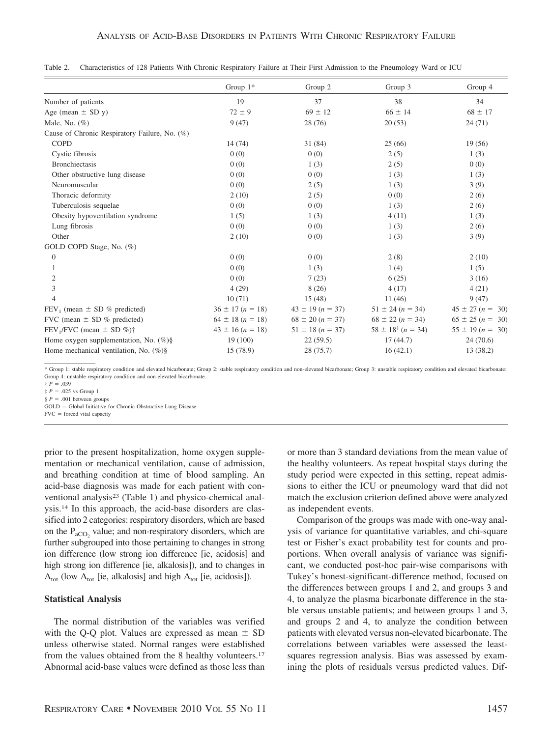|                                                      | Group $1^*$          | Group 2              | Group 3                 | Group 4              |
|------------------------------------------------------|----------------------|----------------------|-------------------------|----------------------|
| Number of patients                                   | 19                   | 37                   | 38                      | 34                   |
| Age (mean $\pm$ SD y)                                | $72 \pm 9$           | $69 \pm 12$          | $66 \pm 14$             | $68 \pm 17$          |
| Male, No. $(\%)$                                     | 9(47)                | 28 (76)              | 20(53)                  | 24(71)               |
| Cause of Chronic Respiratory Failure, No. (%)        |                      |                      |                         |                      |
| <b>COPD</b>                                          | 14(74)               | 31(84)               | 25(66)                  | 19(56)               |
| Cystic fibrosis                                      | 0(0)                 | 0(0)                 | 2(5)                    | 1(3)                 |
| <b>Bronchiectasis</b>                                | 0(0)                 | 1(3)                 | 2(5)                    | 0(0)                 |
| Other obstructive lung disease                       | 0(0)                 | 0(0)                 | 1(3)                    | 1(3)                 |
| Neuromuscular                                        | 0(0)                 | 2(5)                 | 1(3)                    | 3(9)                 |
| Thoracic deformity                                   | 2(10)                | 2(5)                 | 0(0)                    | 2(6)                 |
| Tuberculosis sequelae                                | 0(0)                 | 0(0)                 | 1(3)                    | 2(6)                 |
| Obesity hypoventilation syndrome                     | 1(5)                 | 1(3)                 | 4(11)                   | 1(3)                 |
| Lung fibrosis                                        | 0(0)                 | 0(0)                 | 1(3)                    | 2(6)                 |
| Other                                                | 2(10)                | 0(0)                 | 1(3)                    | 3(9)                 |
| GOLD COPD Stage, No. (%)                             |                      |                      |                         |                      |
| $\theta$                                             | 0(0)                 | 0(0)                 | 2(8)                    | 2(10)                |
|                                                      | 0(0)                 | 1(3)                 | 1(4)                    | 1(5)                 |
| $\mathfrak{2}$                                       | 0(0)                 | 7(23)                | 6(25)                   | 3(16)                |
| 3                                                    | 4(29)                | 8(26)                | 4(17)                   | 4(21)                |
| 4                                                    | 10(71)               | 15(48)               | 11(46)                  | 9(47)                |
| $FEV_1$ (mean $\pm$ SD % predicted)                  | $36 \pm 17 (n = 18)$ | $43 \pm 19 (n = 37)$ | $51 \pm 24 (n = 34)$    | $45 \pm 27$ (n = 30) |
| FVC (mean $\pm$ SD % predicted)                      | $64 \pm 18$ (n = 18) | $68 \pm 20 (n = 37)$ | $68 \pm 22 (n = 34)$    | $65 \pm 25 (n = 30)$ |
| FEV <sub>1</sub> /FVC (mean $\pm$ SD %) <sup>†</sup> | $43 \pm 16 (n = 18)$ | $51 \pm 18 (n = 37)$ | $58 \pm 18^{2}(n = 34)$ | $55 \pm 19 (n = 30)$ |
| Home oxygen supplementation, No. $(\%)\$             | 19(100)              | 22(59.5)             | 17(44.7)                | 24(70.6)             |
| Home mechanical ventilation, No. $(\%)\$             | 15 (78.9)            | 28 (75.7)            | 16(42.1)                | 13 (38.2)            |

|  |  |  |  |  |  |  |  |  | Table 2. Characteristics of 128 Patients With Chronic Respiratory Failure at Their First Admission to the Pneumology Ward or ICU |  |  |
|--|--|--|--|--|--|--|--|--|----------------------------------------------------------------------------------------------------------------------------------|--|--|
|--|--|--|--|--|--|--|--|--|----------------------------------------------------------------------------------------------------------------------------------|--|--|

 $\uparrow$  *P* = .039

 $\ddagger$  *P* = .025 vs Group 1

 $\S P = .001$  between groups

GOLD = Global Initiative for Chronic Obstructive Lung Disease

FVC forced vital capacity

prior to the present hospitalization, home oxygen supplementation or mechanical ventilation, cause of admission, and breathing condition at time of blood sampling. An acid-base diagnosis was made for each patient with conventional analysis<sup>23</sup> (Table 1) and physico-chemical analysis.14 In this approach, the acid-base disorders are classified into 2 categories: respiratory disorders, which are based on the  $P_{\text{aCO}_2}$  value; and non-respiratory disorders, which are further subgrouped into those pertaining to changes in strong ion difference (low strong ion difference [ie, acidosis] and high strong ion difference [ie, alkalosis]), and to changes in  $A_{\text{tot}}$  (low  $A_{\text{tot}}$  [ie, alkalosis] and high  $A_{\text{tot}}$  [ie, acidosis]).

## **Statistical Analysis**

The normal distribution of the variables was verified with the Q-Q plot. Values are expressed as mean  $\pm$  SD unless otherwise stated. Normal ranges were established from the values obtained from the 8 healthy volunteers.17 Abnormal acid-base values were defined as those less than

or more than 3 standard deviations from the mean value of the healthy volunteers. As repeat hospital stays during the study period were expected in this setting, repeat admissions to either the ICU or pneumology ward that did not match the exclusion criterion defined above were analyzed as independent events.

Comparison of the groups was made with one-way analysis of variance for quantitative variables, and chi-square test or Fisher's exact probability test for counts and proportions. When overall analysis of variance was significant, we conducted post-hoc pair-wise comparisons with Tukey's honest-significant-difference method, focused on the differences between groups 1 and 2, and groups 3 and 4, to analyze the plasma bicarbonate difference in the stable versus unstable patients; and between groups 1 and 3, and groups 2 and 4, to analyze the condition between patients with elevated versus non-elevated bicarbonate. The correlations between variables were assessed the leastsquares regression analysis. Bias was assessed by examining the plots of residuals versus predicted values. Dif-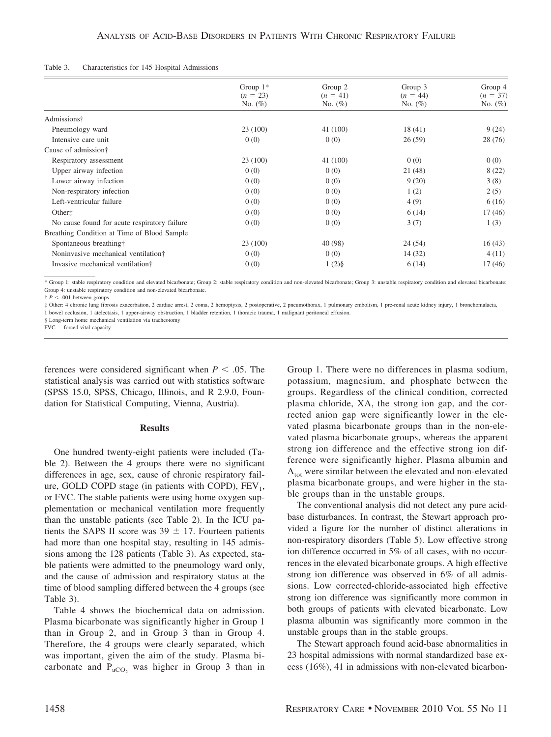| Characteristics for 145 Hospital Admissions<br>Table 3. |  |  |  |  |
|---------------------------------------------------------|--|--|--|--|
|---------------------------------------------------------|--|--|--|--|

|                                              | Group $1^*$ | Group 2    | Group 3    | Group 4    |
|----------------------------------------------|-------------|------------|------------|------------|
|                                              | $(n = 23)$  | $(n = 41)$ | $(n = 44)$ | $(n = 37)$ |
|                                              | No. $(\%)$  | No. $(\%)$ | No. $(\%)$ | No. $(\%)$ |
| Admissions†                                  |             |            |            |            |
| Pneumology ward                              | 23(100)     | 41 (100)   | 18(41)     | 9(24)      |
| Intensive care unit                          | 0(0)        | 0(0)       | 26(59)     | 28(76)     |
| Cause of admission†                          |             |            |            |            |
| Respiratory assessment                       | 23 (100)    | 41 (100)   | 0(0)       | 0(0)       |
| Upper airway infection                       | 0(0)        | 0(0)       | 21 (48)    | 8(22)      |
| Lower airway infection                       | 0(0)        | 0(0)       | 9(20)      | 3(8)       |
| Non-respiratory infection                    | 0(0)        | 0(0)       | 1(2)       | 2(5)       |
| Left-ventricular failure                     | 0(0)        | 0(0)       | 4(9)       | 6(16)      |
| Other <sup><math>\pm</math></sup>            | 0(0)        | 0(0)       | 6(14)      | 17(46)     |
| No cause found for acute respiratory failure | 0(0)        | 0(0)       | 3(7)       | 1(3)       |
| Breathing Condition at Time of Blood Sample  |             |            |            |            |
| Spontaneous breathing†                       | 23 (100)    | 40 (98)    | 24(54)     | 16(43)     |
| Noninvasive mechanical ventilation†          | 0(0)        | 0(0)       | 14(32)     | 4(11)      |
| Invasive mechanical ventilation <sup>†</sup> | 0(0)        | $1(2)\$    | 6(14)      | 17(46)     |

 $\uparrow$  *P*  $\leq$  .001 between groups

‡ Other: 4 chronic lung fibrosis exacerbation, 2 cardiac arrest, 2 coma, 2 hemoptysis, 2 postoperative, 2 pneumothorax, 1 pulmonary embolism, 1 pre-renal acute kidney injury, 1 bronchomalacia, 1 bowel occlusion, 1 atelectasis, 1 upper-airway obstruction, 1 bladder retention, 1 thoracic trauma, 1 malignant peritoneal effusion.

§ Long-term home mechanical ventilation via tracheotomy

FVC forced vital capacity

ferences were considered significant when  $P < .05$ . The statistical analysis was carried out with statistics software (SPSS 15.0, SPSS, Chicago, Illinois, and R 2.9.0, Foundation for Statistical Computing, Vienna, Austria).

#### **Results**

One hundred twenty-eight patients were included (Table 2). Between the 4 groups there were no significant differences in age, sex, cause of chronic respiratory failure, GOLD COPD stage (in patients with COPD),  $FEV<sub>1</sub>$ , or FVC. The stable patients were using home oxygen supplementation or mechanical ventilation more frequently than the unstable patients (see Table 2). In the ICU patients the SAPS II score was  $39 \pm 17$ . Fourteen patients had more than one hospital stay, resulting in 145 admissions among the 128 patients (Table 3). As expected, stable patients were admitted to the pneumology ward only, and the cause of admission and respiratory status at the time of blood sampling differed between the 4 groups (see Table 3).

Table 4 shows the biochemical data on admission. Plasma bicarbonate was significantly higher in Group 1 than in Group 2, and in Group 3 than in Group 4. Therefore, the 4 groups were clearly separated, which was important, given the aim of the study. Plasma bicarbonate and  $P_{aCO}$ , was higher in Group 3 than in Group 1. There were no differences in plasma sodium, potassium, magnesium, and phosphate between the groups. Regardless of the clinical condition, corrected plasma chloride, XA, the strong ion gap, and the corrected anion gap were significantly lower in the elevated plasma bicarbonate groups than in the non-elevated plasma bicarbonate groups, whereas the apparent strong ion difference and the effective strong ion difference were significantly higher. Plasma albumin and A<sub>tot</sub> were similar between the elevated and non-elevated plasma bicarbonate groups, and were higher in the stable groups than in the unstable groups.

The conventional analysis did not detect any pure acidbase disturbances. In contrast, the Stewart approach provided a figure for the number of distinct alterations in non-respiratory disorders (Table 5). Low effective strong ion difference occurred in 5% of all cases, with no occurrences in the elevated bicarbonate groups. A high effective strong ion difference was observed in 6% of all admissions. Low corrected-chloride-associated high effective strong ion difference was significantly more common in both groups of patients with elevated bicarbonate. Low plasma albumin was significantly more common in the unstable groups than in the stable groups.

The Stewart approach found acid-base abnormalities in 23 hospital admissions with normal standardized base excess (16%), 41 in admissions with non-elevated bicarbon-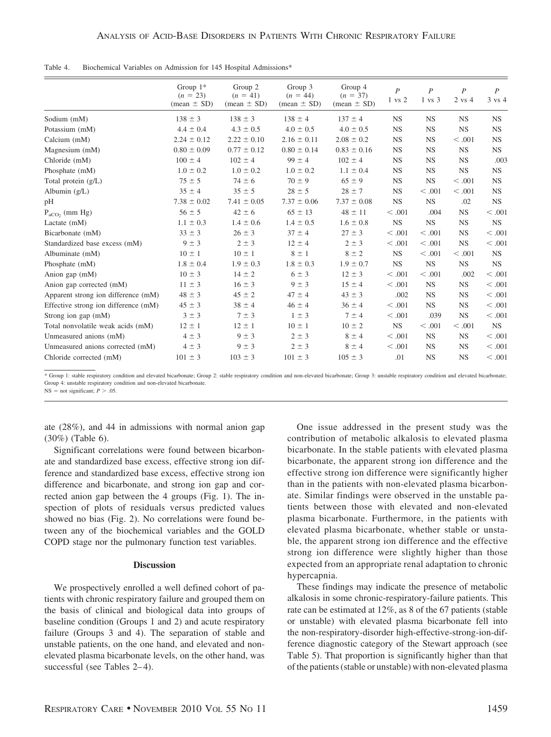|                                      | Group $1^*$<br>$(n = 23)$<br>$mean \pm SD$ | Group 2<br>$(n = 41)$<br>$mean \pm SD$ | Group 3<br>$(n = 44)$<br>$mean \pm SD$ | Group 4<br>$(n = 37)$<br>$mean \pm SD$ | $\boldsymbol{P}$<br>$1 \ vs \ 2$ | $\boldsymbol{P}$<br>$1 \text{ vs } 3$ | $\boldsymbol{P}$<br>2 vs 4 | $\boldsymbol{P}$<br>$3 \text{ vs } 4$ |
|--------------------------------------|--------------------------------------------|----------------------------------------|----------------------------------------|----------------------------------------|----------------------------------|---------------------------------------|----------------------------|---------------------------------------|
| Sodium (mM)                          | $138 \pm 3$                                | $138 \pm 3$                            | $138 \pm 4$                            | $137 \pm 4$                            | <b>NS</b>                        | <b>NS</b>                             | <b>NS</b>                  | <b>NS</b>                             |
| Potassium (mM)                       | $4.4 \pm 0.4$                              | $4.3 \pm 0.5$                          | $4.0 \pm 0.5$                          | $4.0 \pm 0.5$                          | <b>NS</b>                        | <b>NS</b>                             | <b>NS</b>                  | <b>NS</b>                             |
| Calcium (mM)                         | $2.24 \pm 0.12$                            | $2.22 \pm 0.10$                        | $2.16 \pm 0.11$                        | $2.08 \pm 0.2$                         | <b>NS</b>                        | <b>NS</b>                             | < .001                     | <b>NS</b>                             |
| Magnesium (mM)                       | $0.80 \pm 0.09$                            | $0.77 \pm 0.12$                        | $0.80 \pm 0.14$                        | $0.83 \pm 0.16$                        | <b>NS</b>                        | <b>NS</b>                             | <b>NS</b>                  | NS.                                   |
| Chloride (mM)                        | $100 \pm 4$                                | $102 \pm 4$                            | $99 \pm 4$                             | $102 \pm 4$                            | <b>NS</b>                        | <b>NS</b>                             | <b>NS</b>                  | .003                                  |
| Phosphate (mM)                       | $1.0 \pm 0.2$                              | $1.0 \pm 0.2$                          | $1.0 \pm 0.2$                          | $1.1 \pm 0.4$                          | <b>NS</b>                        | <b>NS</b>                             | $_{\rm NS}$                | <b>NS</b>                             |
| Total protein $(g/L)$                | $75 \pm 5$                                 | $74 \pm 6$                             | $70 \pm 9$                             | $65 \pm 9$                             | <b>NS</b>                        | <b>NS</b>                             | < 0.001                    | <b>NS</b>                             |
| Albumin $(g/L)$                      | $35 \pm 4$                                 | $35 \pm 5$                             | $28 \pm 5$                             | $28 \pm 7$                             | <b>NS</b>                        | < 0.001                               | < 0.001                    | <b>NS</b>                             |
| pH                                   | $7.38 \pm 0.02$                            | $7.41 \pm 0.05$                        | $7.37 \pm 0.06$                        | $7.37 \pm 0.08$                        | <b>NS</b>                        | <b>NS</b>                             | .02                        | NS.                                   |
| $P_{aCO2}$ (mm Hg)                   | $56 \pm 5$                                 | $42 \pm 6$                             | $65 \pm 13$                            | $48 \pm 11$                            | < 0.001                          | .004                                  | NS                         | < 0.001                               |
| Lactate (mM)                         | $1.1 \pm 0.3$                              | $1.4 \pm 0.6$                          | $1.4 \pm 0.5$                          | $1.6 \pm 0.8$                          | <b>NS</b>                        | <b>NS</b>                             | <b>NS</b>                  | <b>NS</b>                             |
| Bicarbonate (mM)                     | $33 \pm 3$                                 | $26 \pm 3$                             | $37 \pm 4$                             | $27 \pm 3$                             | < .001                           | < .001                                | <b>NS</b>                  | < 0.001                               |
| Standardized base excess (mM)        | $9 \pm 3$                                  | $2 \pm 3$                              | $12 \pm 4$                             | $2 \pm 3$                              | < 0.001                          | < 0.001                               | NS                         | < 0.001                               |
| Albuminate (mM)                      | $10 \pm 1$                                 | $10 \pm 1$                             | $8 \pm 1$                              | $8 \pm 2$                              | <b>NS</b>                        | < 0.001                               | < 0.001                    | <b>NS</b>                             |
| Phosphate (mM)                       | $1.8 \pm 0.4$                              | $1.9 \pm 0.3$                          | $1.8 \pm 0.3$                          | $1.9 \pm 0.7$                          | <b>NS</b>                        | <b>NS</b>                             | <b>NS</b>                  | <b>NS</b>                             |
| Anion gap (mM)                       | $10 \pm 3$                                 | $14 \pm 2$                             | $6 \pm 3$                              | $12 \pm 3$                             | < .001                           | < .001                                | .002                       | < 0.001                               |
| Anion gap corrected (mM)             | $11 \pm 3$                                 | $16 \pm 3$                             | $9 \pm 3$                              | $15 \pm 4$                             | < 0.001                          | <b>NS</b>                             | <b>NS</b>                  | < 0.001                               |
| Apparent strong ion difference (mM)  | $48 \pm 3$                                 | $45 \pm 2$                             | $47 \pm 4$                             | $43 \pm 3$                             | .002                             | <b>NS</b>                             | <b>NS</b>                  | < 0.001                               |
| Effective strong ion difference (mM) | $45 \pm 3$                                 | $38 \pm 4$                             | $46 \pm 4$                             | $36 \pm 4$                             | < .001                           | <b>NS</b>                             | $_{\rm NS}$                | < 0.001                               |
| Strong ion gap (mM)                  | $3 \pm 3$                                  | $7 \pm 3$                              | $1 \pm 3$                              | $7 \pm 4$                              | < 0.001                          | .039                                  | NS                         | < 0.001                               |
| Total nonvolatile weak acids (mM)    | $12 \pm 1$                                 | $12 \pm 1$                             | $10 \pm 1$                             | $10 \pm 2$                             | <b>NS</b>                        | < 0.001                               | < 0.001                    | NS.                                   |
| Unmeasured anions (mM)               | $4 \pm 3$                                  | $9 \pm 3$                              | $2 \pm 3$                              | $8 \pm 4$                              | < .001                           | <b>NS</b>                             | <b>NS</b>                  | < 0.001                               |
| Unmeasured anions corrected (mM)     | $4 \pm 3$                                  | $9 \pm 3$                              | $2 \pm 3$                              | $8 \pm 4$                              | < .001                           | <b>NS</b>                             | <b>NS</b>                  | < 0.001                               |
| Chloride corrected (mM)              | $101 \pm 3$                                | $103 \pm 3$                            | $101 \pm 3$                            | $105 \pm 3$                            | .01                              | <b>NS</b>                             | <b>NS</b>                  | < 0.001                               |

 $NS = not significant; P > .05.$ 

ate (28%), and 44 in admissions with normal anion gap (30%) (Table 6).

Significant correlations were found between bicarbonate and standardized base excess, effective strong ion difference and standardized base excess, effective strong ion difference and bicarbonate, and strong ion gap and corrected anion gap between the 4 groups (Fig. 1). The inspection of plots of residuals versus predicted values showed no bias (Fig. 2). No correlations were found between any of the biochemical variables and the GOLD COPD stage nor the pulmonary function test variables.

### **Discussion**

We prospectively enrolled a well defined cohort of patients with chronic respiratory failure and grouped them on the basis of clinical and biological data into groups of baseline condition (Groups 1 and 2) and acute respiratory failure (Groups 3 and 4). The separation of stable and unstable patients, on the one hand, and elevated and nonelevated plasma bicarbonate levels, on the other hand, was successful (see Tables 2–4).

One issue addressed in the present study was the contribution of metabolic alkalosis to elevated plasma bicarbonate. In the stable patients with elevated plasma bicarbonate, the apparent strong ion difference and the effective strong ion difference were significantly higher than in the patients with non-elevated plasma bicarbonate. Similar findings were observed in the unstable patients between those with elevated and non-elevated plasma bicarbonate. Furthermore, in the patients with elevated plasma bicarbonate, whether stable or unstable, the apparent strong ion difference and the effective strong ion difference were slightly higher than those expected from an appropriate renal adaptation to chronic hypercapnia.

These findings may indicate the presence of metabolic alkalosis in some chronic-respiratory-failure patients. This rate can be estimated at 12%, as 8 of the 67 patients (stable or unstable) with elevated plasma bicarbonate fell into the non-respiratory-disorder high-effective-strong-ion-difference diagnostic category of the Stewart approach (see Table 5). That proportion is significantly higher than that of the patients (stable or unstable) with non-elevated plasma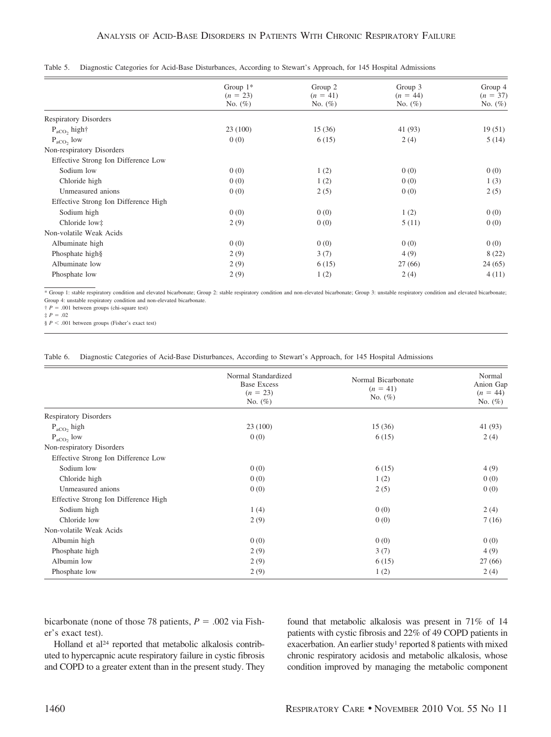|                                      | Group $1^*$ | Group 2    | Group 3    | Group 4    |
|--------------------------------------|-------------|------------|------------|------------|
|                                      | $(n = 23)$  | $(n = 41)$ | $(n = 44)$ | $(n = 37)$ |
|                                      | No. $(\%)$  | No. $(\%)$ | No. $(\%)$ | No. $(\%)$ |
| <b>Respiratory Disorders</b>         |             |            |            |            |
| $P_{\text{aCO}}$ , high†             | 23(100)     | 15(36)     | 41 (93)    | 19(51)     |
| $P_{\text{aCO}}$ , low               | 0(0)        | 6(15)      | 2(4)       | 5(14)      |
| Non-respiratory Disorders            |             |            |            |            |
| Effective Strong Ion Difference Low  |             |            |            |            |
| Sodium low                           | 0(0)        | 1(2)       | 0(0)       | 0(0)       |
| Chloride high                        | 0(0)        | 1(2)       | 0(0)       | 1(3)       |
| Unmeasured anions                    | 0(0)        | 2(5)       | 0(0)       | 2(5)       |
| Effective Strong Ion Difference High |             |            |            |            |
| Sodium high                          | 0(0)        | 0(0)       | 1(2)       | 0(0)       |
| Chloride low‡                        | 2(9)        | 0(0)       | 5(11)      | 0(0)       |
| Non-volatile Weak Acids              |             |            |            |            |
| Albuminate high                      | 0(0)        | 0(0)       | 0(0)       | 0(0)       |
| Phosphate high§                      | 2(9)        | 3(7)       | 4(9)       | 8(22)      |
| Albuminate low                       | 2(9)        | 6(15)      | 27(66)     | 24(65)     |
| Phosphate low                        | 2(9)        | 1(2)       | 2(4)       | 4(11)      |

| Table 5. Diagnostic Categories for Acid-Base Disturbances, According to Stewart's Approach, for 145 Hospital Admissions |  |
|-------------------------------------------------------------------------------------------------------------------------|--|
|-------------------------------------------------------------------------------------------------------------------------|--|

 $\uparrow$  *P* = .001 between groups (chi-square test)

 $\ddagger P = .02$ 

 $\frac{1}{2}$  *P* < .001 between groups (Fisher's exact test)

|  | Table 6. Diagnostic Categories of Acid-Base Disturbances, According to Stewart's Approach, for 145 Hospital Admissions |  |  |
|--|------------------------------------------------------------------------------------------------------------------------|--|--|
|  |                                                                                                                        |  |  |

|                                      | Normal Standardized<br><b>Base Excess</b><br>$(n = 23)$<br>No. $(\%)$ | Normal Bicarbonate<br>$(n = 41)$<br>No. $(\%)$ | Normal<br>Anion Gap<br>$(n = 44)$<br>No. $(\%)$ |
|--------------------------------------|-----------------------------------------------------------------------|------------------------------------------------|-------------------------------------------------|
| <b>Respiratory Disorders</b>         |                                                                       |                                                |                                                 |
| $P_{\rm aCO}$ , high                 | 23(100)                                                               | 15(36)                                         | 41 (93)                                         |
| $P_{\text{aCO}}$ , low               | 0(0)                                                                  | 6(15)                                          | 2(4)                                            |
| Non-respiratory Disorders            |                                                                       |                                                |                                                 |
| Effective Strong Ion Difference Low  |                                                                       |                                                |                                                 |
| Sodium low                           | 0(0)                                                                  | 6(15)                                          | 4(9)                                            |
| Chloride high                        | 0(0)                                                                  | 1(2)                                           | 0(0)                                            |
| Unmeasured anions                    | 0(0)                                                                  | 2(5)                                           | 0(0)                                            |
| Effective Strong Ion Difference High |                                                                       |                                                |                                                 |
| Sodium high                          | 1(4)                                                                  | 0(0)                                           | 2(4)                                            |
| Chloride low                         | 2(9)                                                                  | 0(0)                                           | 7(16)                                           |
| Non-volatile Weak Acids              |                                                                       |                                                |                                                 |
| Albumin high                         | 0(0)                                                                  | 0(0)                                           | 0(0)                                            |
| Phosphate high                       | 2(9)                                                                  | 3(7)                                           | 4(9)                                            |
| Albumin low                          | 2(9)                                                                  | 6(15)                                          | 27(66)                                          |
| Phosphate low                        | 2(9)                                                                  | 1(2)                                           | 2(4)                                            |

bicarbonate (none of those 78 patients,  $P = .002$  via Fisher's exact test).

Holland et al<sup>24</sup> reported that metabolic alkalosis contributed to hypercapnic acute respiratory failure in cystic fibrosis and COPD to a greater extent than in the present study. They found that metabolic alkalosis was present in 71% of 14 patients with cystic fibrosis and 22% of 49 COPD patients in exacerbation. An earlier study<sup>1</sup> reported 8 patients with mixed chronic respiratory acidosis and metabolic alkalosis, whose condition improved by managing the metabolic component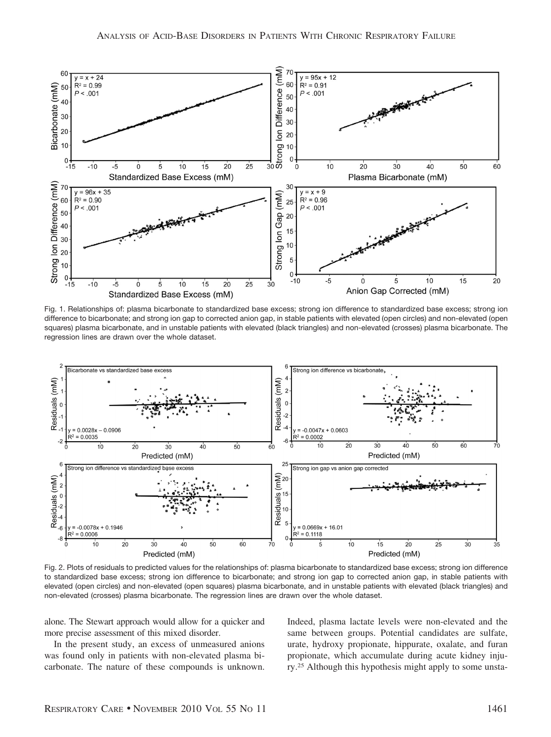

Fig. 1. Relationships of: plasma bicarbonate to standardized base excess; strong ion difference to standardized base excess; strong ion difference to bicarbonate; and strong ion gap to corrected anion gap, in stable patients with elevated (open circles) and non-elevated (open squares) plasma bicarbonate, and in unstable patients with elevated (black triangles) and non-elevated (crosses) plasma bicarbonate. The regression lines are drawn over the whole dataset.



Fig. 2. Plots of residuals to predicted values for the relationships of: plasma bicarbonate to standardized base excess; strong ion difference to standardized base excess; strong ion difference to bicarbonate; and strong ion gap to corrected anion gap, in stable patients with elevated (open circles) and non-elevated (open squares) plasma bicarbonate, and in unstable patients with elevated (black triangles) and non-elevated (crosses) plasma bicarbonate. The regression lines are drawn over the whole dataset.

alone. The Stewart approach would allow for a quicker and more precise assessment of this mixed disorder.

In the present study, an excess of unmeasured anions was found only in patients with non-elevated plasma bicarbonate. The nature of these compounds is unknown.

Indeed, plasma lactate levels were non-elevated and the same between groups. Potential candidates are sulfate, urate, hydroxy propionate, hippurate, oxalate, and furan propionate, which accumulate during acute kidney injury.25 Although this hypothesis might apply to some unsta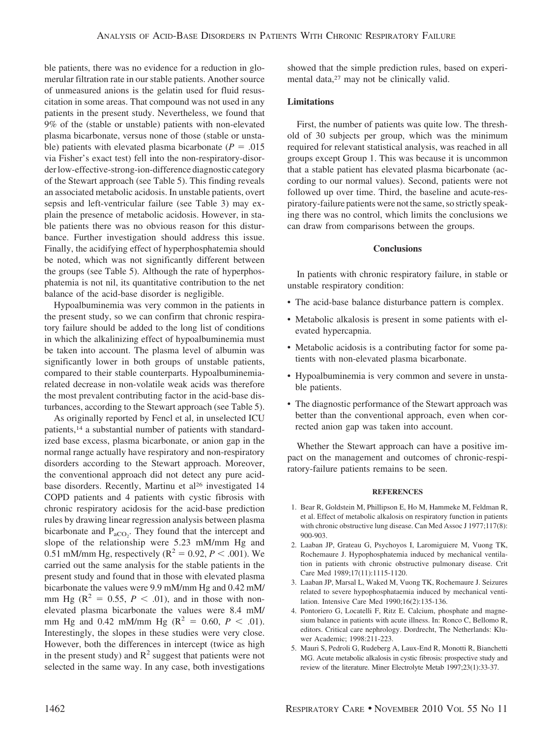ble patients, there was no evidence for a reduction in glomerular filtration rate in our stable patients. Another source of unmeasured anions is the gelatin used for fluid resuscitation in some areas. That compound was not used in any patients in the present study. Nevertheless, we found that 9% of the (stable or unstable) patients with non-elevated plasma bicarbonate, versus none of those (stable or unstable) patients with elevated plasma bicarbonate  $(P = .015)$ via Fisher's exact test) fell into the non-respiratory-disorder low-effective-strong-ion-difference diagnostic category of the Stewart approach (see Table 5). This finding reveals an associated metabolic acidosis. In unstable patients, overt sepsis and left-ventricular failure (see Table 3) may explain the presence of metabolic acidosis. However, in stable patients there was no obvious reason for this disturbance. Further investigation should address this issue. Finally, the acidifying effect of hyperphosphatemia should be noted, which was not significantly different between the groups (see Table 5). Although the rate of hyperphosphatemia is not nil, its quantitative contribution to the net balance of the acid-base disorder is negligible.

Hypoalbuminemia was very common in the patients in the present study, so we can confirm that chronic respiratory failure should be added to the long list of conditions in which the alkalinizing effect of hypoalbuminemia must be taken into account. The plasma level of albumin was significantly lower in both groups of unstable patients, compared to their stable counterparts. Hypoalbuminemiarelated decrease in non-volatile weak acids was therefore the most prevalent contributing factor in the acid-base disturbances, according to the Stewart approach (see Table 5).

As originally reported by Fencl et al, in unselected ICU patients,14 a substantial number of patients with standardized base excess, plasma bicarbonate, or anion gap in the normal range actually have respiratory and non-respiratory disorders according to the Stewart approach. Moreover, the conventional approach did not detect any pure acidbase disorders. Recently, Martinu et al<sup>26</sup> investigated 14 COPD patients and 4 patients with cystic fibrosis with chronic respiratory acidosis for the acid-base prediction rules by drawing linear regression analysis between plasma bicarbonate and  $P_{aCO_2}$ . They found that the intercept and slope of the relationship were 5.23 mM/mm Hg and 0.51 mM/mm Hg, respectively ( $R^2 = 0.92, P < .001$ ). We carried out the same analysis for the stable patients in the present study and found that in those with elevated plasma bicarbonate the values were 9.9 mM/mm Hg and 0.42 mM/ mm Hg ( $\mathbb{R}^2 = 0.55$ ,  $P < .01$ ), and in those with nonelevated plasma bicarbonate the values were 8.4 mM/ mm Hg and 0.42 mM/mm Hg ( $R^2 = 0.60$ ,  $P < .01$ ). Interestingly, the slopes in these studies were very close. However, both the differences in intercept (twice as high in the present study) and  $R^2$  suggest that patients were not selected in the same way. In any case, both investigations showed that the simple prediction rules, based on experimental data,<sup>27</sup> may not be clinically valid.

## **Limitations**

First, the number of patients was quite low. The threshold of 30 subjects per group, which was the minimum required for relevant statistical analysis, was reached in all groups except Group 1. This was because it is uncommon that a stable patient has elevated plasma bicarbonate (according to our normal values). Second, patients were not followed up over time. Third, the baseline and acute-respiratory-failure patients were not the same, so strictly speaking there was no control, which limits the conclusions we can draw from comparisons between the groups.

## **Conclusions**

In patients with chronic respiratory failure, in stable or unstable respiratory condition:

- The acid-base balance disturbance pattern is complex.
- Metabolic alkalosis is present in some patients with elevated hypercapnia.
- Metabolic acidosis is a contributing factor for some patients with non-elevated plasma bicarbonate.
- Hypoalbuminemia is very common and severe in unstable patients.
- The diagnostic performance of the Stewart approach was better than the conventional approach, even when corrected anion gap was taken into account.

Whether the Stewart approach can have a positive impact on the management and outcomes of chronic-respiratory-failure patients remains to be seen.

#### **REFERENCES**

- 1. Bear R, Goldstein M, Phillipson E, Ho M, Hammeke M, Feldman R, et al. Effect of metabolic alkalosis on respiratory function in patients with chronic obstructive lung disease. Can Med Assoc J 1977;117(8): 900-903.
- 2. Laaban JP, Grateau G, Psychoyos I, Laromiguiere M, Vuong TK, Rochemaure J. Hypophosphatemia induced by mechanical ventilation in patients with chronic obstructive pulmonary disease. Crit Care Med 1989;17(11):1115-1120.
- 3. Laaban JP, Marsal L, Waked M, Vuong TK, Rochemaure J. Seizures related to severe hypophosphataemia induced by mechanical ventilation. Intensive Care Med 1990;16(2):135-136.
- 4. Pontoriero G, Locatelli F, Ritz E. Calcium, phosphate and magnesium balance in patients with acute illness. In: Ronco C, Bellomo R, editors. Critical care nephrology. Dordrecht, The Netherlands: Kluwer Academic; 1998:211-223.
- 5. Mauri S, Pedroli G, Rudeberg A, Laux-End R, Monotti R, Bianchetti MG. Acute metabolic alkalosis in cystic fibrosis: prospective study and review of the literature. Miner Electrolyte Metab 1997;23(1):33-37.